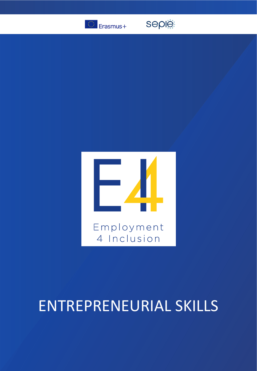

seple



# ENTREPRENEURIAL SKILLS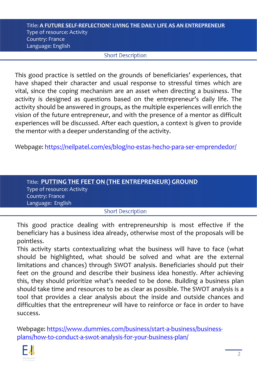#### Title: **A FUTURE SELF-REFLECTION? LIVING THE DAILY LIFE AS AN ENTREPRENEUR**  Type of resource: Activity Country: France Language: English

### **Short Description**

This good practice is settled on the grounds of beneficiaries' experiences, that have shaped their character and usual response to stressful times which are vital, since the coping mechanism are an asset when directing a business. The activity is designed as questions based on the entrepreneur's daily life. The activity should be answered in groups, as the multiple experiences will enrich the vision of the future entrepreneur, and with the presence of a mentor as difficult experiences will be discussed. After each question, a context is given to provide the mentor with a deeper understanding of the activity.

Webpage: <https://neilpatel.com/es/blog/no-estas-hecho-para-ser-emprendedor/>

| Title: PUTTING THE FEET ON (THE ENTREPRENEUR) GROUND |  |
|------------------------------------------------------|--|
| Type of resource: Activity                           |  |
| Country: France                                      |  |
| Language: English                                    |  |

# **Short Description**

This good practice dealing with entrepreneurship is most effective if the beneficiary has a business idea already, otherwise most of the proposals will be pointless.

This activity starts contextualizing what the business will have to face (what should be highlighted, what should be solved and what are the external limitations and chances) through SWOT analysis. Beneficiaries should put their feet on the ground and describe their business idea honestly. After achieving this, they should prioritize what's needed to be done. Building a business plan should take time and resources to be as clear as possible. The SWOT analysis is a tool that provides a clear analysis about the inside and outside chances and difficulties that the entrepreneur will have to reinforce or face in order to have success.

[Webpage: https://www.dummies.com/business/start-a-business/business](https://www.dummies.com/business/start-a-business/business-plans/how-to-conduct-a-swot-analysis-for-your-business-plan/)plans/how-to-conduct-a-swot-analysis-for-your-business-plan/